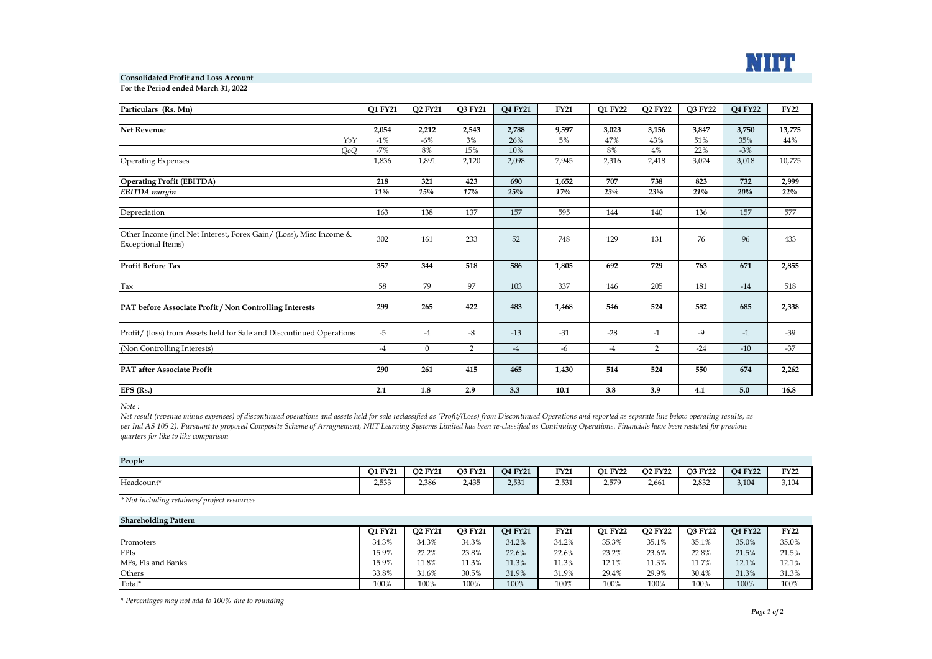

## **Consolidated Profit and Loss Account**

**For the Period ended March 31, 2022**

| Particulars (Rs. Mn)                                                                     | <b>O1 FY21</b> | <b>O2 FY21</b> | Q3 FY21        | Q4 FY21 | <b>FY21</b> | <b>O1 FY22</b> | Q2 FY22        | <b>O3 FY22</b> | Q4 FY22 | <b>FY22</b> |
|------------------------------------------------------------------------------------------|----------------|----------------|----------------|---------|-------------|----------------|----------------|----------------|---------|-------------|
|                                                                                          |                |                |                |         |             |                |                |                |         |             |
| Net Revenue                                                                              | 2,054          | 2,212          | 2,543          | 2,788   | 9,597       | 3,023          | 3,156          | 3,847          | 3,750   | 13,775      |
| YoY                                                                                      | $-1\%$         | $-6%$          | 3%             | 26%     | 5%          | 47%            | 43%            | 51%            | 35%     | 44%         |
| QoQ                                                                                      | $-7%$          | 8%             | 15%            | 10%     |             | 8%             | 4%             | 22%            | $-3%$   |             |
| <b>Operating Expenses</b>                                                                | 1,836          | 1,891          | 2,120          | 2,098   | 7,945       | 2,316          | 2,418          | 3,024          | 3,018   | 10,775      |
|                                                                                          |                |                |                |         |             |                |                |                |         |             |
| <b>Operating Profit (EBITDA)</b>                                                         | 218            | 321            | 423            | 690     | 1,652       | 707            | 738            | 823            | 732     | 2,999       |
| <b>EBITDA</b> margin                                                                     | 11%            | 15%            | 17%            | 25%     | 17%         | 23%            | 23%            | 21%            | 20%     | 22%         |
|                                                                                          |                |                |                |         |             |                |                |                |         |             |
| Depreciation                                                                             | 163            | 138            | 137            | 157     | 595         | 144            | 140            | 136            | 157     | 577         |
|                                                                                          |                |                |                |         |             |                |                |                |         |             |
| Other Income (incl Net Interest, Forex Gain/ (Loss), Misc Income &<br>Exceptional Items) | 302            | 161            | 233            | 52      | 748         | 129            | 131            | 76             | 96      | 433         |
|                                                                                          |                |                |                |         |             |                |                |                |         |             |
| <b>Profit Before Tax</b>                                                                 | 357            | 344            | 518            | 586     | 1,805       | 692            | 729            | 763            | 671     | 2,855       |
|                                                                                          |                |                |                |         |             |                |                |                |         |             |
| Tax                                                                                      | 58             | 79             | 97             | 103     | 337         | 146            | 205            | 181            | $-14$   | 518         |
|                                                                                          |                |                |                |         |             |                |                |                |         |             |
| PAT before Associate Profit / Non Controlling Interests                                  | 299            | 265            | 422            | 483     | 1,468       | 546            | 524            | 582            | 685     | 2,338       |
|                                                                                          |                |                |                |         |             |                |                |                |         |             |
| Profit/ (loss) from Assets held for Sale and Discontinued Operations                     | $-5$           | -4             | $-8$           | $-13$   | $-31$       | $-28$          | $-1$           | $-9$           | $-1$    | $-39$       |
| (Non Controlling Interests)                                                              | $-4$           | $\Omega$       | $\overline{2}$ | $-4$    | -6          | $-4$           | $\overline{2}$ | $-24$          | $-10$   | $-37$       |
|                                                                                          |                |                |                |         |             |                |                |                |         |             |
| <b>PAT after Associate Profit</b>                                                        | 290            | 261            | 415            | 465     | 1,430       | 514            | 524            | 550            | 674     | 2,262       |
|                                                                                          |                |                |                |         |             |                |                |                |         |             |
| EPS (Rs.)                                                                                | 2.1            | 1.8            | 2.9            | 3.3     | 10.1        | 3.8            | 3.9            | 4.1            | 5.0     | 16.8        |

*Note :* 

Net result (revenue minus expenses) of discontinued operations and assets held for sale reclassified as 'Profit/(Loss) from Discontinued Operations and reported as separate line below operating results, as *per Ind AS 105 2). Pursuant to proposed Composite Scheme of Arragnement, NIIT Learning Systems Limited has been re-classified as Continuing Operations. Financials have been restated for previous quarters for like to like comparison*

| People     |                |                |                |                |             |                |                |                |                |             |  |
|------------|----------------|----------------|----------------|----------------|-------------|----------------|----------------|----------------|----------------|-------------|--|
|            | <b>O1 FY21</b> | <b>O2 FY21</b> | <b>O3 FY21</b> | <b>O4 FY21</b> | <b>FY21</b> | <b>O1 FY22</b> | <b>O2 FY22</b> | <b>O3 FY22</b> | <b>O4 FY22</b> | <b>FY22</b> |  |
| Headcount* | 2,533          | 2,386          | 2,435          | 2,531          | 2,531       | 2.579          | 2.661          | 2.832          | 3,104          | 3,104       |  |

*\* Not including retainers/ project resources*

| <b>Shareholding Pattern</b> |                |                |                |                |             |                |                |                |                |             |
|-----------------------------|----------------|----------------|----------------|----------------|-------------|----------------|----------------|----------------|----------------|-------------|
|                             | <b>O1 FY21</b> | <b>O2 FY21</b> | <b>O3 FY21</b> | <b>O4 FY21</b> | <b>FY21</b> | <b>O1 FY22</b> | <b>O2 FY22</b> | <b>O3 FY22</b> | <b>O4 FY22</b> | <b>FY22</b> |
| Promoters                   | 34.3%          | 34.3%          | 34.3%          | 34.2%          | 34.2%       | 35.3%          | 35.1%          | 35.1%          | 35.0%          | 35.0%       |
| <b>FPIs</b>                 | 15.9%          | 22.2%          | 23.8%          | 22.6%          | 22.6%       | 23.2%          | 23.6%          | 22.8%          | 21.5%          | 21.5%       |
| MFs, FIs and Banks          | 15.9%          | 1.8%           | 11.3%          | 11.3%          | 11.3%       | 12.1%          | 11.3%          | 11.7%          | 12.1%          | 12.1%       |
| Others                      | 33.8%          | 31.6%          | 30.5%          | 31.9%          | 31.9%       | 29.4%          | 29.9%          | 30.4%          | 31.3%          | 31.3%       |
| Total*                      | 100%           | 100%           | 100%           | 100%           | 100%        | 100%           | 100%           | 100%           | 100%           | 100%        |

*\* Percentages may not add to 100% due to rounding*